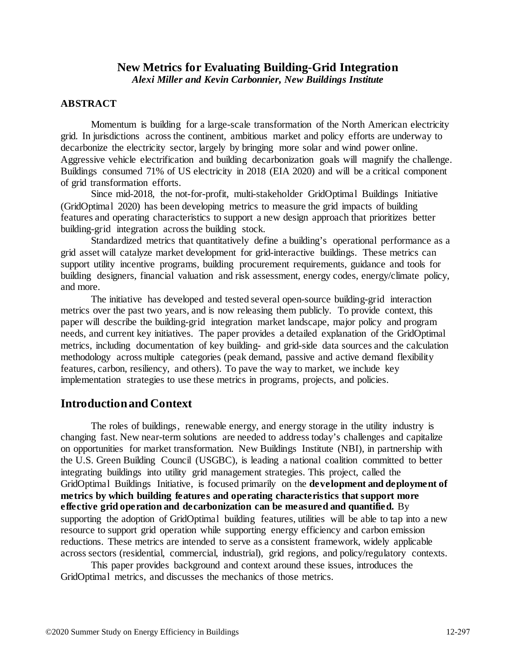## **New Metrics for Evaluating Building-Grid Integration** *Alexi Miller and Kevin Carbonnier, New Buildings Institute*

### **ABSTRACT**

Momentum is building for a large-scale transformation of the North American electricity grid. In jurisdictions across the continent, ambitious market and policy efforts are underway to decarbonize the electricity sector, largely by bringing more solar and wind power online. Aggressive vehicle electrification and building decarbonization goals will magnify the challenge. Buildings consumed 71% of US electricity in 2018 (EIA 2020) and will be a critical component of grid transformation efforts.

Since mid-2018, the not-for-profit, multi-stakeholder GridOptimal Buildings Initiative (GridOptimal 2020) has been developing metrics to measure the grid impacts of building features and operating characteristics to support a new design approach that prioritizes better building-grid integration across the building stock.

Standardized metrics that quantitatively define a building's operational performance as a grid asset will catalyze market development for grid-interactive buildings. These metrics can support utility incentive programs, building procurement requirements, guidance and tools for building designers, financial valuation and risk assessment, energy codes, energy/climate policy, and more.

The initiative has developed and tested several open-source building-grid interaction metrics over the past two years, and is now releasing them publicly. To provide context, this paper will describe the building-grid integration market landscape, major policy and program needs, and current key initiatives. The paper provides a detailed explanation of the GridOptimal metrics, including documentation of key building- and grid-side data sources and the calculation methodology across multiple categories (peak demand, passive and active demand flexibility features, carbon, resiliency, and others). To pave the way to market, we include key implementation strategies to use these metrics in programs, projects, and policies.

## **Introduction and Context**

The roles of buildings, renewable energy, and energy storage in the utility industry is changing fast. New near-term solutions are needed to address today's challenges and capitalize on opportunities for market transformation. New Buildings Institute (NBI), in partnership with the U.S. Green Building Council (USGBC), is leading a national coalition committed to better integrating buildings into utility grid management strategies. This project, called the GridOptimal Buildings Initiative, is focused primarily on the **development and deployment of metrics by which building features and operating characteristics that support more effective grid operation and decarbonization can be measured and quantified.** By supporting the adoption of GridOptimal building features, utilities will be able to tap into a new resource to support grid operation while supporting energy efficiency and carbon emission reductions. These metrics are intended to serve as a consistent framework, widely applicable across sectors (residential, commercial, industrial), grid regions, and policy/regulatory contexts.

This paper provides background and context around these issues, introduces the GridOptimal metrics, and discusses the mechanics of those metrics.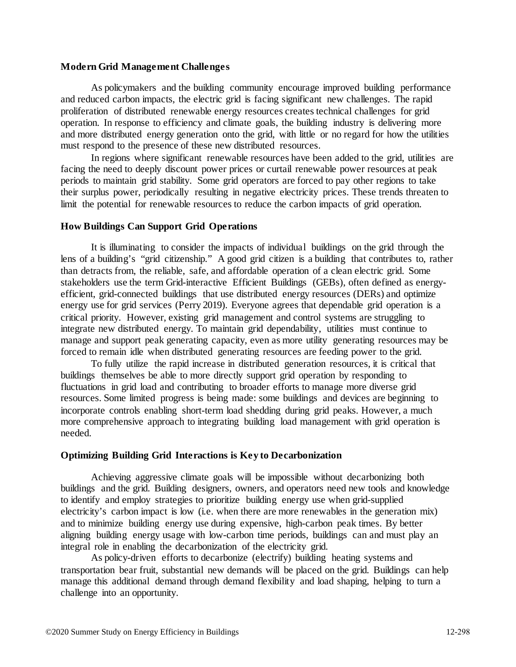### **Modern Grid Management Challenges**

As policymakers and the building community encourage improved building performance and reduced carbon impacts, the electric grid is facing significant new challenges. The rapid proliferation of distributed renewable energy resources creates technical challenges for grid operation. In response to efficiency and climate goals, the building industry is delivering more and more distributed energy generation onto the grid, with little or no regard for how the utilities must respond to the presence of these new distributed resources.

In regions where significant renewable resources have been added to the grid, utilities are facing the need to deeply discount power prices or curtail renewable power resources at peak periods to maintain grid stability. Some grid operators are forced to pay other regions to take their surplus power, periodically resulting in negative electricity prices. These trends threaten to limit the potential for renewable resources to reduce the carbon impacts of grid operation.

### **How Buildings Can Support Grid Operations**

It is illuminating to consider the impacts of individual buildings on the grid through the lens of a building's "grid citizenship." A good grid citizen is a building that contributes to, rather than detracts from, the reliable, safe, and affordable operation of a clean electric grid. Some stakeholders use the term Grid-interactive Efficient Buildings (GEBs), often defined as energyefficient, grid-connected buildings that use distributed energy resources (DERs) and optimize energy use for grid services (Perry 2019). Everyone agrees that dependable grid operation is a critical priority. However, existing grid management and control systems are struggling to integrate new distributed energy. To maintain grid dependability, utilities must continue to manage and support peak generating capacity, even as more utility generating resources may be forced to remain idle when distributed generating resources are feeding power to the grid.

To fully utilize the rapid increase in distributed generation resources, it is critical that buildings themselves be able to more directly support grid operation by responding to fluctuations in grid load and contributing to broader efforts to manage more diverse grid resources. Some limited progress is being made: some buildings and devices are beginning to incorporate controls enabling short-term load shedding during grid peaks. However, a much more comprehensive approach to integrating building load management with grid operation is needed.

### **Optimizing Building Grid Interactions is Key to Decarbonization**

Achieving aggressive climate goals will be impossible without decarbonizing both buildings and the grid. Building designers, owners, and operators need new tools and knowledge to identify and employ strategies to prioritize building energy use when grid-supplied electricity's carbon impact is low (i.e. when there are more renewables in the generation mix) and to minimize building energy use during expensive, high-carbon peak times. By better aligning building energy usage with low-carbon time periods, buildings can and must play an integral role in enabling the decarbonization of the electricity grid.

As policy-driven efforts to decarbonize (electrify) building heating systems and transportation bear fruit, substantial new demands will be placed on the grid. Buildings can help manage this additional demand through demand flexibility and load shaping, helping to turn a challenge into an opportunity.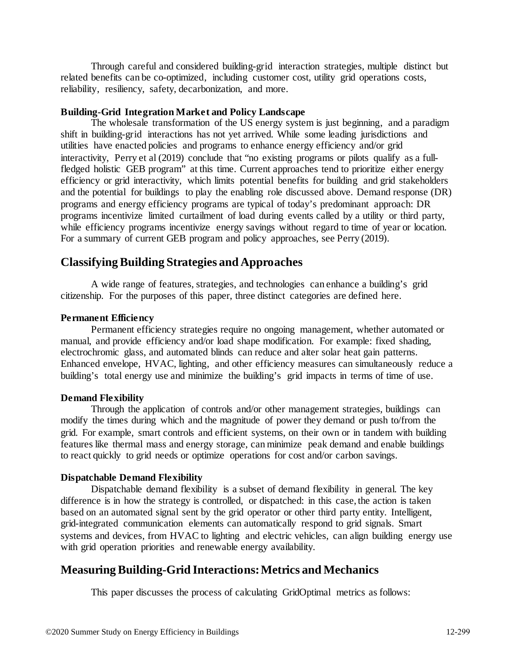Through careful and considered building-grid interaction strategies, multiple distinct but related benefits can be co-optimized, including customer cost, utility grid operations costs, reliability, resiliency, safety, decarbonization, and more.

### **Building-Grid Integration Market and Policy Landscape**

The wholesale transformation of the US energy system is just beginning, and a paradigm shift in building-grid interactions has not yet arrived. While some leading jurisdictions and utilities have enacted policies and programs to enhance energy efficiency and/or grid interactivity, Perry et al (2019) conclude that "no existing programs or pilots qualify as a fullfledged holistic GEB program" at this time. Current approaches tend to prioritize either energy efficiency or grid interactivity, which limits potential benefits for building and grid stakeholders and the potential for buildings to play the enabling role discussed above. Demand response (DR) programs and energy efficiency programs are typical of today's predominant approach: DR programs incentivize limited curtailment of load during events called by a utility or third party, while efficiency programs incentivize energy savings without regard to time of year or location. For a summary of current GEB program and policy approaches, see Perry (2019).

# **Classifying Building Strategies and Approaches**

A wide range of features, strategies, and technologies can enhance a building's grid citizenship. For the purposes of this paper, three distinct categories are defined here.

### **Permanent Efficiency**

Permanent efficiency strategies require no ongoing management, whether automated or manual, and provide efficiency and/or load shape modification. For example: fixed shading, electrochromic glass, and automated blinds can reduce and alter solar heat gain patterns. Enhanced envelope, HVAC, lighting, and other efficiency measures can simultaneously reduce a building's total energy use and minimize the building's grid impacts in terms of time of use.

#### **Demand Flexibility**

Through the application of controls and/or other management strategies, buildings can modify the times during which and the magnitude of power they demand or push to/from the grid. For example, smart controls and efficient systems, on their own or in tandem with building features like thermal mass and energy storage, can minimize peak demand and enable buildings to react quickly to grid needs or optimize operations for cost and/or carbon savings.

#### **Dispatchable Demand Flexibility**

Dispatchable demand flexibility is a subset of demand flexibility in general. The key difference is in how the strategy is controlled, or dispatched: in this case, the action is taken based on an automated signal sent by the grid operator or other third party entity. Intelligent, grid-integrated communication elements can automatically respond to grid signals. Smart systems and devices, from HVAC to lighting and electric vehicles, can align building energy use with grid operation priorities and renewable energy availability.

## **Measuring Building-Grid Interactions: Metrics and Mechanics**

This paper discusses the process of calculating GridOptimal metrics as follows: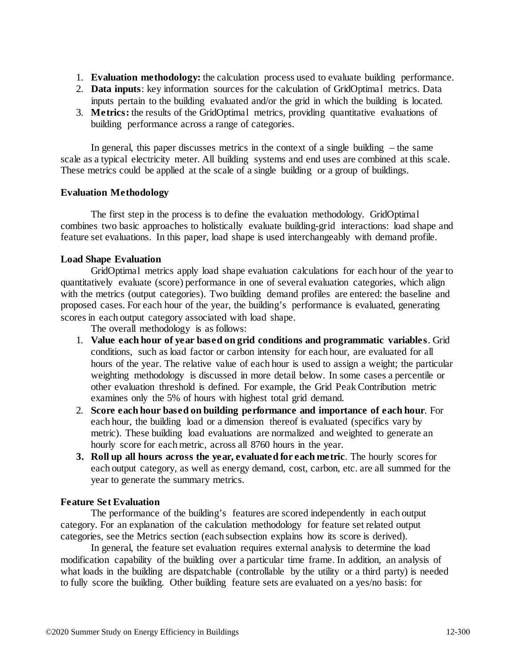- 1. **Evaluation methodology:** the calculation process used to evaluate building performance.
- 2. **Data inputs**: key information sources for the calculation of GridOptimal metrics. Data inputs pertain to the building evaluated and/or the grid in which the building is located.
- 3. **Metrics:** the results of the GridOptimal metrics, providing quantitative evaluations of building performance across a range of categories.

In general, this paper discusses metrics in the context of a single building – the same scale as a typical electricity meter. All building systems and end uses are combined at this scale. These metrics could be applied at the scale of a single building or a group of buildings.

### **Evaluation Methodology**

The first step in the process is to define the evaluation methodology. GridOptimal combines two basic approaches to holistically evaluate building-grid interactions: load shape and feature set evaluations. In this paper, load shape is used interchangeably with demand profile.

### **Load Shape Evaluation**

GridOptimal metrics apply load shape evaluation calculations for each hour of the year to quantitatively evaluate (score) performance in one of several evaluation categories, which align with the metrics (output categories). Two building demand profiles are entered: the baseline and proposed cases. For each hour of the year, the building's performance is evaluated, generating scores in each output category associated with load shape.

The overall methodology is as follows:

- 1. **Value each hour of year based on grid conditions and programmatic variables**. Grid conditions, such as load factor or carbon intensity for each hour, are evaluated for all hours of the year. The relative value of each hour is used to assign a weight; the particular weighting methodology is discussed in more detail below. In some cases a percentile or other evaluation threshold is defined. For example, the Grid Peak Contribution metric examines only the 5% of hours with highest total grid demand.
- 2. **Score each hour based on building performance and importance of each hour**. For each hour, the building load or a dimension thereof is evaluated (specifics vary by metric). These building load evaluations are normalized and weighted to generate an hourly score for each metric, across all 8760 hours in the year.
- **3. Roll up all hours across the year, evaluated for each metric**. The hourly scores for each output category, as well as energy demand, cost, carbon, etc. are all summed for the year to generate the summary metrics.

### **Feature Set Evaluation**

The performance of the building's features are scored independently in each output category. For an explanation of the calculation methodology for feature set related output categories, see the Metrics section (each subsection explains how its score is derived).

In general, the feature set evaluation requires external analysis to determine the load modification capability of the building over a particular time frame. In addition, an analysis of what loads in the building are dispatchable (controllable by the utility or a third party) is needed to fully score the building. Other building feature sets are evaluated on a yes/no basis: for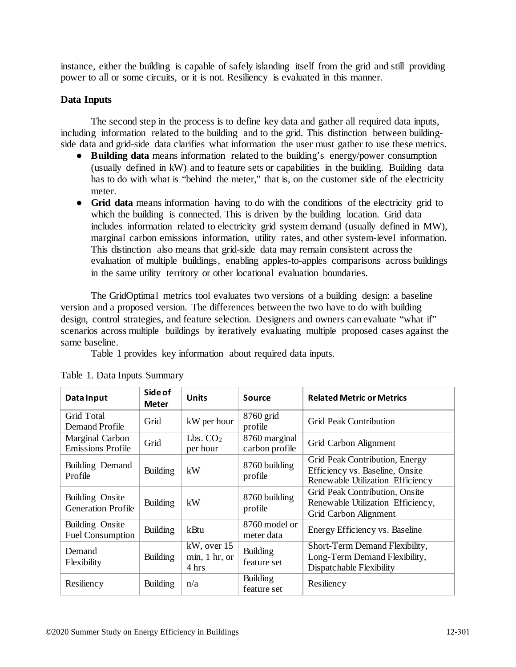instance, either the building is capable of safely islanding itself from the grid and still providing power to all or some circuits, or it is not. Resiliency is evaluated in this manner.

## **Data Inputs**

The second step in the process is to define key data and gather all required data inputs, including information related to the building and to the grid. This distinction between buildingside data and grid-side data clarifies what information the user must gather to use these metrics.

- **Building data** means information related to the building's energy/power consumption (usually defined in kW) and to feature sets or capabilities in the building. Building data has to do with what is "behind the meter," that is, on the customer side of the electricity meter.
- **Grid data** means information having to do with the conditions of the electricity grid to which the building is connected. This is driven by the building location. Grid data includes information related to electricity grid system demand (usually defined in MW), marginal carbon emissions information, utility rates, and other system-level information. This distinction also means that grid-side data may remain consistent across the evaluation of multiple buildings, enabling apples-to-apples comparisons across buildings in the same utility territory or other locational evaluation boundaries.

The GridOptimal metrics tool evaluates two versions of a building design: a baseline version and a proposed version. The differences between the two have to do with building design, control strategies, and feature selection. Designers and owners can evaluate "what if" scenarios across multiple buildings by iteratively evaluating multiple proposed cases against the same baseline.

Table 1 provides key information about required data inputs.

| Data Input                                   | Side of<br><b>Meter</b> | <b>Units</b>                             | Source                          | <b>Related Metric or Metrics</b>                                                                      |
|----------------------------------------------|-------------------------|------------------------------------------|---------------------------------|-------------------------------------------------------------------------------------------------------|
| Grid Total<br>Demand Profile                 | Grid                    | kW per hour                              | 8760 grid<br>profile            | <b>Grid Peak Contribution</b>                                                                         |
| Marginal Carbon<br><b>Emissions Profile</b>  | Grid                    | Lbs. CO <sub>2</sub><br>per hour         | 8760 marginal<br>carbon profile | Grid Carbon Alignment                                                                                 |
| Building Demand<br>Profile                   | Building                | kW                                       | 8760 building<br>profile        | Grid Peak Contribution, Energy<br>Efficiency vs. Baseline, Onsite<br>Renewable Utilization Efficiency |
| Building Onsite<br><b>Generation Profile</b> | Building                | kW                                       | 8760 building<br>profile        | Grid Peak Contribution, Onsite<br>Renewable Utilization Efficiency,<br>Grid Carbon Alignment          |
| Building Onsite<br><b>Fuel Consumption</b>   | <b>Building</b>         | kBtu                                     | 8760 model or<br>meter data     | Energy Efficiency vs. Baseline                                                                        |
| Demand<br>Flexibility                        | <b>Building</b>         | $kW$ , over 15<br>min, 1 hr, or<br>4 hrs | Building<br>feature set         | Short-Term Demand Flexibility,<br>Long-Term Demand Flexibility,<br>Dispatchable Flexibility           |
| Resiliency                                   | <b>Building</b>         | n/a                                      | Building<br>feature set         | Resiliency                                                                                            |

Table 1. Data Inputs Summary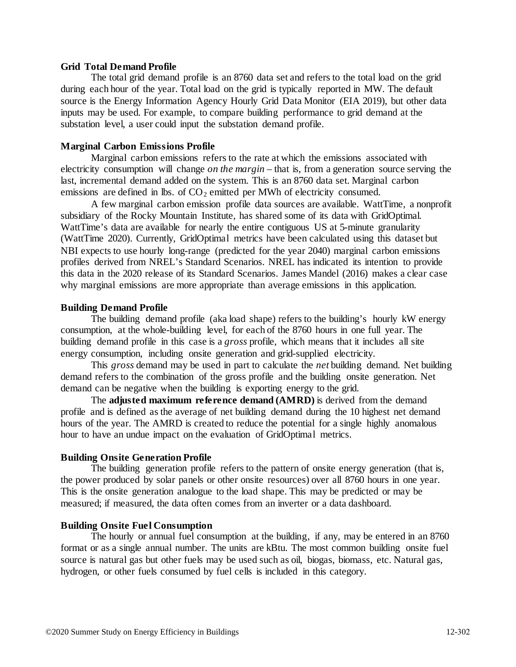### **Grid Total Demand Profile**

The total grid demand profile is an 8760 data set and refers to the total load on the grid during each hour of the year. Total load on the grid is typically reported in MW. The default source is the Energy Information Agency Hourly Grid Data Monitor (EIA 2019), but other data inputs may be used. For example, to compare building performance to grid demand at the substation level, a user could input the substation demand profile.

### **Marginal Carbon Emissions Profile**

Marginal carbon emissions refers to the rate at which the emissions associated with electricity consumption will change *on the margin* – that is, from a generation source serving the last, incremental demand added on the system. This is an 8760 data set. Marginal carbon emissions are defined in lbs. of  $CO<sub>2</sub>$  emitted per MWh of electricity consumed.

A few marginal carbon emission profile data sources are available. WattTime, a nonprofit subsidiary of the Rocky Mountain Institute, has shared some of its data with GridOptimal. WattTime's data are available for nearly the entire contiguous US at 5-minute granularity (WattTime 2020). Currently, GridOptimal metrics have been calculated using this dataset but NBI expects to use hourly long-range (predicted for the year 2040) marginal carbon emissions profiles derived from NREL's Standard Scenarios. NREL has indicated its intention to provide this data in the 2020 release of its Standard Scenarios. James Mandel (2016) makes a clear case why marginal emissions are more appropriate than average emissions in this application.

### **Building Demand Profile**

The building demand profile (aka load shape) refers to the building's hourly kW energy consumption, at the whole-building level, for each of the 8760 hours in one full year. The building demand profile in this case is a *gross* profile, which means that it includes all site energy consumption, including onsite generation and grid-supplied electricity.

This *gross* demand may be used in part to calculate the *net* building demand. Net building demand refers to the combination of the gross profile and the building onsite generation. Net demand can be negative when the building is exporting energy to the grid.

The **adjusted maximum reference demand (AMRD)** is derived from the demand profile and is defined as the average of net building demand during the 10 highest net demand hours of the year. The AMRD is created to reduce the potential for a single highly anomalous hour to have an undue impact on the evaluation of GridOptimal metrics.

### **Building Onsite Generation Profile**

The building generation profile refers to the pattern of onsite energy generation (that is, the power produced by solar panels or other onsite resources) over all 8760 hours in one year. This is the onsite generation analogue to the load shape. This may be predicted or may be measured; if measured, the data often comes from an inverter or a data dashboard.

### **Building Onsite Fuel Consumption**

The hourly or annual fuel consumption at the building, if any, may be entered in an 8760 format or as a single annual number. The units are kBtu. The most common building onsite fuel source is natural gas but other fuels may be used such as oil, biogas, biomass, etc. Natural gas, hydrogen, or other fuels consumed by fuel cells is included in this category.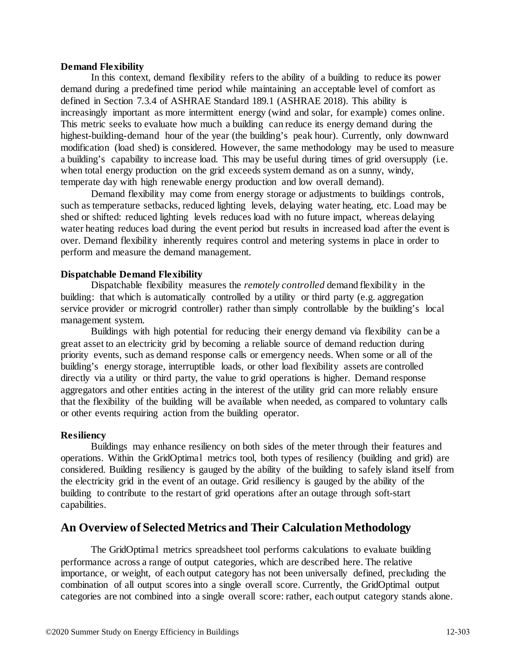### **Demand Flexibility**

In this context, demand flexibility refers to the ability of a building to reduce its power demand during a predefined time period while maintaining an acceptable level of comfort as defined in Section 7.3.4 of ASHRAE Standard 189.1 (ASHRAE 2018). This ability is increasingly important as more intermittent energy (wind and solar, for example) comes online. This metric seeks to evaluate how much a building can reduce its energy demand during the highest-building-demand hour of the year (the building's peak hour). Currently, only downward modification (load shed) is considered. However, the same methodology may be used to measure a building's capability to increase load. This may be useful during times of grid oversupply (i.e. when total energy production on the grid exceeds system demand as on a sunny, windy, temperate day with high renewable energy production and low overall demand).

Demand flexibility may come from energy storage or adjustments to buildings controls, such as temperature setbacks, reduced lighting levels, delaying water heating, etc. Load may be shed or shifted: reduced lighting levels reduces load with no future impact, whereas delaying water heating reduces load during the event period but results in increased load after the event is over. Demand flexibility inherently requires control and metering systems in place in order to perform and measure the demand management.

### **Dispatchable Demand Flexibility**

Dispatchable flexibility measures the *remotely controlled* demand flexibility in the building: that which is automatically controlled by a utility or third party (e.g. aggregation service provider or microgrid controller) rather than simply controllable by the building's local management system.

Buildings with high potential for reducing their energy demand via flexibility can be a great asset to an electricity grid by becoming a reliable source of demand reduction during priority events, such as demand response calls or emergency needs. When some or all of the building's energy storage, interruptible loads, or other load flexibility assets are controlled directly via a utility or third party, the value to grid operations is higher. Demand response aggregators and other entities acting in the interest of the utility grid can more reliably ensure that the flexibility of the building will be available when needed, as compared to voluntary calls or other events requiring action from the building operator.

### **Resiliency**

Buildings may enhance resiliency on both sides of the meter through their features and operations. Within the GridOptimal metrics tool, both types of resiliency (building and grid) are considered. Building resiliency is gauged by the ability of the building to safely island itself from the electricity grid in the event of an outage. Grid resiliency is gauged by the ability of the building to contribute to the restart of grid operations after an outage through soft-start capabilities.

## **An Overview of Selected Metrics and Their Calculation Methodology**

The GridOptimal metrics spreadsheet tool performs calculations to evaluate building performance across a range of output categories, which are described here. The relative importance, or weight, of each output category has not been universally defined, precluding the combination of all output scores into a single overall score. Currently, the GridOptimal output categories are not combined into a single overall score: rather, each output category stands alone.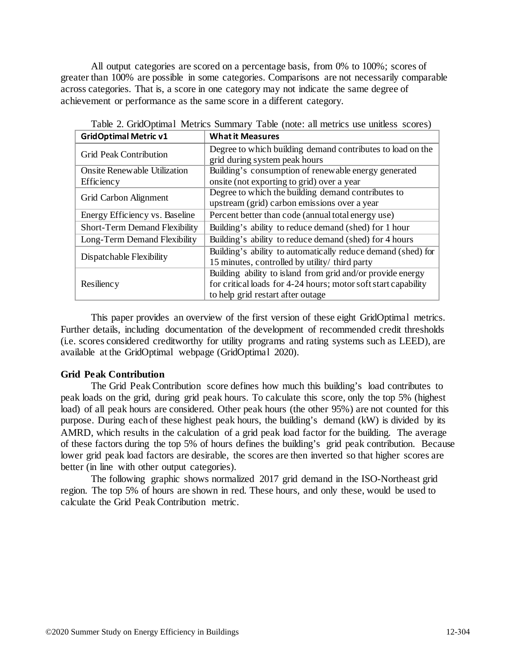All output categories are scored on a percentage basis, from 0% to 100%; scores of greater than 100% are possible in some categories. Comparisons are not necessarily comparable across categories. That is, a score in one category may not indicate the same degree of achievement or performance as the same score in a different category.

| <b>GridOptimal Metric v1</b>         | <b>What it Measures</b>                                                                     |  |  |
|--------------------------------------|---------------------------------------------------------------------------------------------|--|--|
| <b>Grid Peak Contribution</b>        | Degree to which building demand contributes to load on the<br>grid during system peak hours |  |  |
|                                      |                                                                                             |  |  |
| <b>Onsite Renewable Utilization</b>  | Building's consumption of renewable energy generated                                        |  |  |
| <b>Efficiency</b>                    | onsite (not exporting to grid) over a year                                                  |  |  |
| Grid Carbon Alignment                | Degree to which the building demand contributes to                                          |  |  |
|                                      | upstream (grid) carbon emissions over a year                                                |  |  |
| Energy Efficiency vs. Baseline       | Percent better than code (annual total energy use)                                          |  |  |
| <b>Short-Term Demand Flexibility</b> | Building's ability to reduce demand (shed) for 1 hour                                       |  |  |
| Long-Term Demand Flexibility         | Building's ability to reduce demand (shed) for 4 hours                                      |  |  |
| Dispatchable Flexibility             | Building's ability to automatically reduce demand (shed) for                                |  |  |
|                                      | 15 minutes, controlled by utility/ third party                                              |  |  |
|                                      | Building ability to island from grid and/or provide energy                                  |  |  |
| Resiliency                           | for critical loads for 4-24 hours; motor soft start capability                              |  |  |
|                                      | to help grid restart after outage                                                           |  |  |

Table 2. GridOptimal Metrics Summary Table (note: all metrics use unitless scores)

This paper provides an overview of the first version of these eight GridOptimal metrics. Further details, including documentation of the development of recommended credit thresholds (i.e. scores considered creditworthy for utility programs and rating systems such as LEED), are available at the GridOptimal webpage (GridOptimal 2020).

### **Grid Peak Contribution**

The Grid Peak Contribution score defines how much this building's load contributes to peak loads on the grid, during grid peak hours. To calculate this score, only the top 5% (highest load) of all peak hours are considered. Other peak hours (the other 95%) are not counted for this purpose. During each of these highest peak hours, the building's demand (kW) is divided by its AMRD, which results in the calculation of a grid peak load factor for the building. The average of these factors during the top 5% of hours defines the building's grid peak contribution. Because lower grid peak load factors are desirable, the scores are then inverted so that higher scores are better (in line with other output categories).

The following graphic shows normalized 2017 grid demand in the ISO-Northeast grid region. The top 5% of hours are shown in red. These hours, and only these, would be used to calculate the Grid Peak Contribution metric.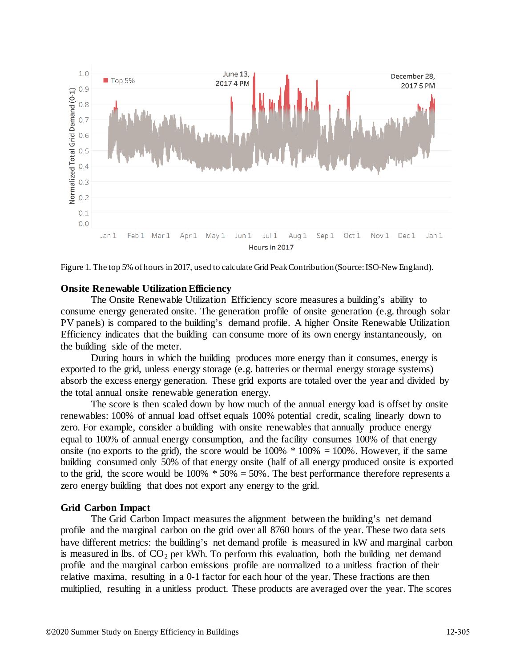

Figure 1. The top 5% of hours in 2017, used to calculate Grid Peak Contribution (Source: ISO-New England).

#### **Onsite Renewable Utilization Efficiency**

The Onsite Renewable Utilization Efficiency score measures a building's ability to consume energy generated onsite. The generation profile of onsite generation (e.g. through solar PV panels) is compared to the building's demand profile. A higher Onsite Renewable Utilization Efficiency indicates that the building can consume more of its own energy instantaneously, on the building side of the meter.

During hours in which the building produces more energy than it consumes, energy is exported to the grid, unless energy storage (e.g. batteries or thermal energy storage systems) absorb the excess energy generation. These grid exports are totaled over the year and divided by the total annual onsite renewable generation energy.

The score is then scaled down by how much of the annual energy load is offset by onsite renewables: 100% of annual load offset equals 100% potential credit, scaling linearly down to zero. For example, consider a building with onsite renewables that annually produce energy equal to 100% of annual energy consumption, and the facility consumes 100% of that energy onsite (no exports to the grid), the score would be  $100\%$  \*  $100\%$  =  $100\%$ . However, if the same building consumed only 50% of that energy onsite (half of all energy produced onsite is exported to the grid, the score would be  $100\% * 50\% = 50\%$ . The best performance therefore represents a zero energy building that does not export any energy to the grid.

#### **Grid Carbon Impact**

The Grid Carbon Impact measures the alignment between the building's net demand profile and the marginal carbon on the grid over all 8760 hours of the year. These two data sets have different metrics: the building's net demand profile is measured in kW and marginal carbon is measured in lbs. of  $CO<sub>2</sub>$  per kWh. To perform this evaluation, both the building net demand profile and the marginal carbon emissions profile are normalized to a unitless fraction of their relative maxima, resulting in a 0-1 factor for each hour of the year. These fractions are then multiplied, resulting in a unitless product. These products are averaged over the year. The scores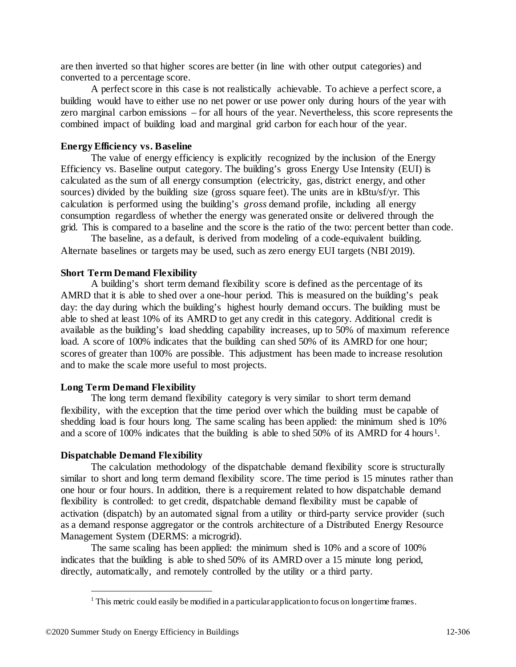are then inverted so that higher scores are better (in line with other output categories) and converted to a percentage score.

A perfect score in this case is not realistically achievable. To achieve a perfect score, a building would have to either use no net power or use power only during hours of the year with zero marginal carbon emissions – for all hours of the year. Nevertheless, this score represents the combined impact of building load and marginal grid carbon for each hour of the year.

### **Energy Efficiency vs. Baseline**

The value of energy efficiency is explicitly recognized by the inclusion of the Energy Efficiency vs. Baseline output category. The building's gross Energy Use Intensity (EUI) is calculated as the sum of all energy consumption (electricity, gas, district energy, and other sources) divided by the building size (gross square feet). The units are in kBtu/sf/yr. This calculation is performed using the building's *gross* demand profile, including all energy consumption regardless of whether the energy was generated onsite or delivered through the grid. This is compared to a baseline and the score is the ratio of the two: percent better than code.

The baseline, as a default, is derived from modeling of a code-equivalent building. Alternate baselines or targets may be used, such as zero energy EUI targets (NBI 2019).

### **Short Term Demand Flexibility**

A building's short term demand flexibility score is defined as the percentage of its AMRD that it is able to shed over a one-hour period. This is measured on the building's peak day: the day during which the building's highest hourly demand occurs. The building must be able to shed at least 10% of its AMRD to get any credit in this category. Additional credit is available as the building's load shedding capability increases, up to 50% of maximum reference load. A score of 100% indicates that the building can shed 50% of its AMRD for one hour; scores of greater than 100% are possible. This adjustment has been made to increase resolution and to make the scale more useful to most projects.

### **Long Term Demand Flexibility**

The long term demand flexibility category is very similar to short term demand flexibility, with the exception that the time period over which the building must be capable of shedding load is four hours long. The same scaling has been applied: the minimum shed is 10% and a score of [1](#page-9-0)00% indicates that the building is able to shed 50% of its AMRD for 4 hours<sup>1</sup>.

#### **Dispatchable Demand Flexibility**

The calculation methodology of the dispatchable demand flexibility score is structurally similar to short and long term demand flexibility score. The time period is 15 minutes rather than one hour or four hours. In addition, there is a requirement related to how dispatchable demand flexibility is controlled: to get credit, dispatchable demand flexibility must be capable of activation (dispatch) by an automated signal from a utility or third-party service provider (such as a demand response aggregator or the controls architecture of a Distributed Energy Resource Management System (DERMS: a microgrid).

<span id="page-9-0"></span>The same scaling has been applied: the minimum shed is 10% and a score of 100% indicates that the building is able to shed 50% of its AMRD over a 15 minute long period, directly, automatically, and remotely controlled by the utility or a third party.

 $<sup>1</sup>$  This metric could easily be modified in a particular application to focus on longer time frames.</sup>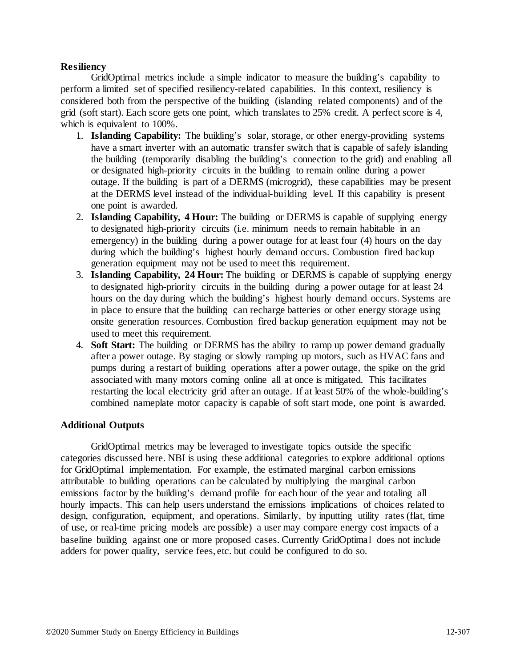### **Resiliency**

GridOptimal metrics include a simple indicator to measure the building's capability to perform a limited set of specified resiliency-related capabilities. In this context, resiliency is considered both from the perspective of the building (islanding related components) and of the grid (soft start). Each score gets one point, which translates to 25% credit. A perfect score is 4, which is equivalent to 100%.

- 1. **Islanding Capability:** The building's solar, storage, or other energy-providing systems have a smart inverter with an automatic transfer switch that is capable of safely islanding the building (temporarily disabling the building's connection to the grid) and enabling all or designated high-priority circuits in the building to remain online during a power outage. If the building is part of a DERMS (microgrid), these capabilities may be present at the DERMS level instead of the individual-building level. If this capability is present one point is awarded.
- 2. **Islanding Capability, 4 Hour:** The building or DERMS is capable of supplying energy to designated high-priority circuits (i.e. minimum needs to remain habitable in an emergency) in the building during a power outage for at least four (4) hours on the day during which the building's highest hourly demand occurs. Combustion fired backup generation equipment may not be used to meet this requirement.
- 3. **Islanding Capability, 24 Hour:** The building or DERMS is capable of supplying energy to designated high-priority circuits in the building during a power outage for at least 24 hours on the day during which the building's highest hourly demand occurs. Systems are in place to ensure that the building can recharge batteries or other energy storage using onsite generation resources. Combustion fired backup generation equipment may not be used to meet this requirement.
- 4. **Soft Start:** The building or DERMS has the ability to ramp up power demand gradually after a power outage. By staging or slowly ramping up motors, such as HVAC fans and pumps during a restart of building operations after a power outage, the spike on the grid associated with many motors coming online all at once is mitigated. This facilitates restarting the local electricity grid after an outage. If at least 50% of the whole-building's combined nameplate motor capacity is capable of soft start mode, one point is awarded.

### **Additional Outputs**

GridOptimal metrics may be leveraged to investigate topics outside the specific categories discussed here. NBI is using these additional categories to explore additional options for GridOptimal implementation. For example, the estimated marginal carbon emissions attributable to building operations can be calculated by multiplying the marginal carbon emissions factor by the building's demand profile for each hour of the year and totaling all hourly impacts. This can help users understand the emissions implications of choices related to design, configuration, equipment, and operations. Similarly, by inputting utility rates (flat, time of use, or real-time pricing models are possible) a user may compare energy cost impacts of a baseline building against one or more proposed cases. Currently GridOptimal does not include adders for power quality, service fees, etc. but could be configured to do so.